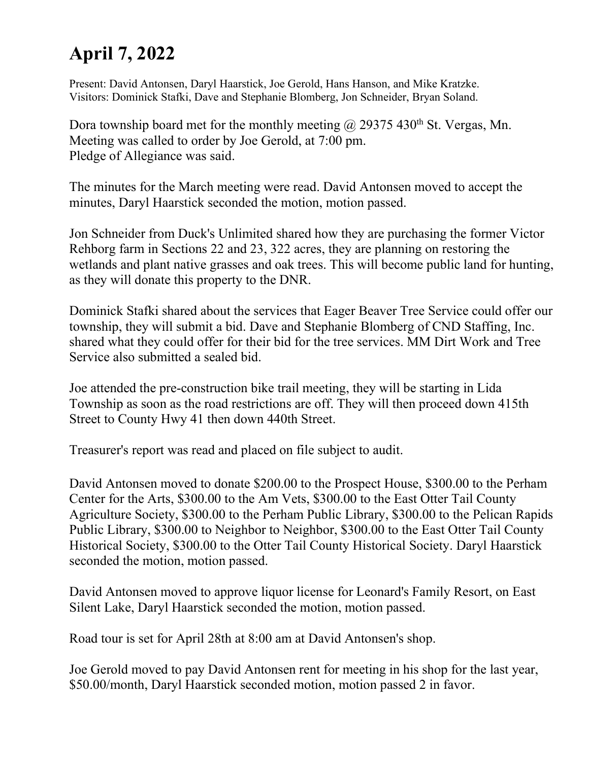## **April 7, 2022**

Present: David Antonsen, Daryl Haarstick, Joe Gerold, Hans Hanson, and Mike Kratzke. Visitors: Dominick Stafki, Dave and Stephanie Blomberg, Jon Schneider, Bryan Soland.

Dora township board met for the monthly meeting  $\omega$  29375 430<sup>th</sup> St. Vergas, Mn. Meeting was called to order by Joe Gerold, at 7:00 pm. Pledge of Allegiance was said.

The minutes for the March meeting were read. David Antonsen moved to accept the minutes, Daryl Haarstick seconded the motion, motion passed.

Jon Schneider from Duck's Unlimited shared how they are purchasing the former Victor Rehborg farm in Sections 22 and 23, 322 acres, they are planning on restoring the wetlands and plant native grasses and oak trees. This will become public land for hunting, as they will donate this property to the DNR.

Dominick Stafki shared about the services that Eager Beaver Tree Service could offer our township, they will submit a bid. Dave and Stephanie Blomberg of CND Staffing, Inc. shared what they could offer for their bid for the tree services. MM Dirt Work and Tree Service also submitted a sealed bid.

Joe attended the pre-construction bike trail meeting, they will be starting in Lida Township as soon as the road restrictions are off. They will then proceed down 415th Street to County Hwy 41 then down 440th Street.

Treasurer's report was read and placed on file subject to audit.

David Antonsen moved to donate \$200.00 to the Prospect House, \$300.00 to the Perham Center for the Arts, \$300.00 to the Am Vets, \$300.00 to the East Otter Tail County Agriculture Society, \$300.00 to the Perham Public Library, \$300.00 to the Pelican Rapids Public Library, \$300.00 to Neighbor to Neighbor, \$300.00 to the East Otter Tail County Historical Society, \$300.00 to the Otter Tail County Historical Society. Daryl Haarstick seconded the motion, motion passed.

David Antonsen moved to approve liquor license for Leonard's Family Resort, on East Silent Lake, Daryl Haarstick seconded the motion, motion passed.

Road tour is set for April 28th at 8:00 am at David Antonsen's shop.

Joe Gerold moved to pay David Antonsen rent for meeting in his shop for the last year, \$50.00/month, Daryl Haarstick seconded motion, motion passed 2 in favor.